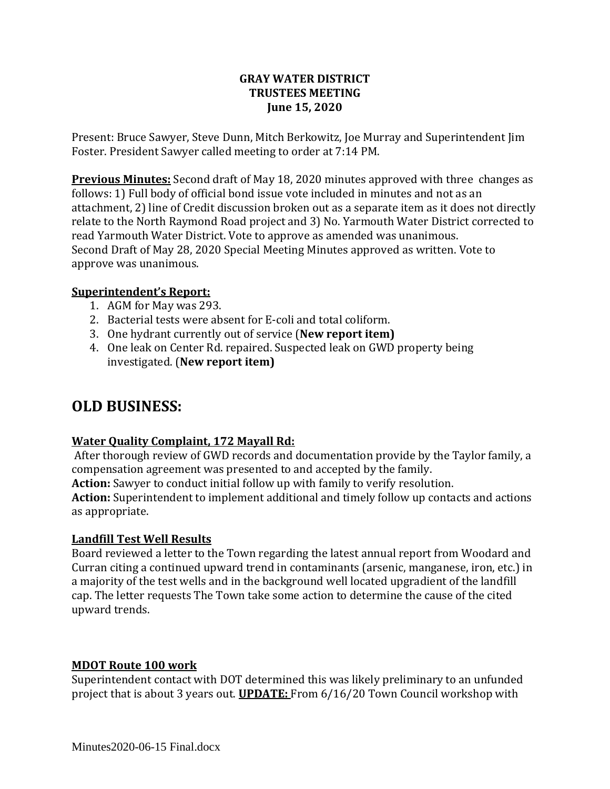### **GRAY WATER DISTRICT TRUSTEES MEETING June 15, 2020**

Present: Bruce Sawyer, Steve Dunn, Mitch Berkowitz, Joe Murray and Superintendent Jim Foster. President Sawyer called meeting to order at 7:14 PM.

**Previous Minutes:** Second draft of May 18, 2020 minutes approved with three changes as follows: 1) Full body of official bond issue vote included in minutes and not as an attachment, 2) line of Credit discussion broken out as a separate item as it does not directly relate to the North Raymond Road project and 3) No. Yarmouth Water District corrected to read Yarmouth Water District. Vote to approve as amended was unanimous. Second Draft of May 28, 2020 Special Meeting Minutes approved as written. Vote to approve was unanimous.

### **Superintendent's Report:**

- 1. AGM for May was 293.
- 2. Bacterial tests were absent for E-coli and total coliform.
- 3. One hydrant currently out of service (**New report item)**
- 4. One leak on Center Rd. repaired. Suspected leak on GWD property being investigated. (**New report item)**

# **OLD BUSINESS:**

# **Water Quality Complaint, 172 Mayall Rd:**

After thorough review of GWD records and documentation provide by the Taylor family, a compensation agreement was presented to and accepted by the family. **Action:** Sawyer to conduct initial follow up with family to verify resolution.

**Action:** Superintendent to implement additional and timely follow up contacts and actions as appropriate.

# **Landfill Test Well Results**

Board reviewed a letter to the Town regarding the latest annual report from Woodard and Curran citing a continued upward trend in contaminants (arsenic, manganese, iron, etc.) in a majority of the test wells and in the background well located upgradient of the landfill cap. The letter requests The Town take some action to determine the cause of the cited upward trends.

# **MDOT Route 100 work**

Superintendent contact with DOT determined this was likely preliminary to an unfunded project that is about 3 years out. **UPDATE:** From 6/16/20 Town Council workshop with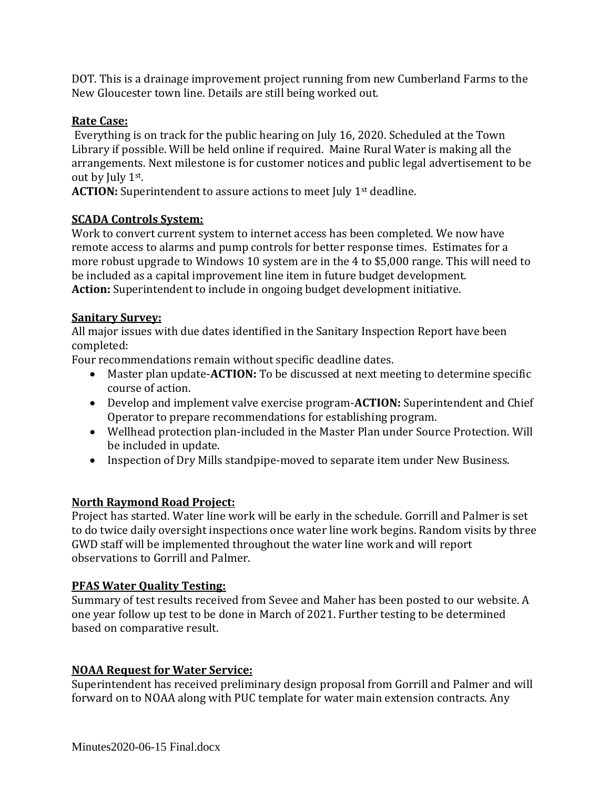DOT. This is a drainage improvement project running from new Cumberland Farms to the New Gloucester town line. Details are still being worked out.

# **Rate Case:**

Everything is on track for the public hearing on July 16, 2020. Scheduled at the Town Library if possible. Will be held online if required. Maine Rural Water is making all the arrangements. Next milestone is for customer notices and public legal advertisement to be out by July 1st.

**ACTION:** Superintendent to assure actions to meet July 1<sup>st</sup> deadline.

### **SCADA Controls System:**

Work to convert current system to internet access has been completed. We now have remote access to alarms and pump controls for better response times. Estimates for a more robust upgrade to Windows 10 system are in the 4 to \$5,000 range. This will need to be included as a capital improvement line item in future budget development. **Action:** Superintendent to include in ongoing budget development initiative.

#### **Sanitary Survey:**

All major issues with due dates identified in the Sanitary Inspection Report have been completed:

Four recommendations remain without specific deadline dates.

- Master plan update-**ACTION:** To be discussed at next meeting to determine specific course of action.
- Develop and implement valve exercise program-**ACTION:** Superintendent and Chief Operator to prepare recommendations for establishing program.
- Wellhead protection plan-included in the Master Plan under Source Protection. Will be included in update.
- Inspection of Dry Mills standpipe-moved to separate item under New Business.

# **North Raymond Road Project:**

Project has started. Water line work will be early in the schedule. Gorrill and Palmer is set to do twice daily oversight inspections once water line work begins. Random visits by three GWD staff will be implemented throughout the water line work and will report observations to Gorrill and Palmer.

#### **PFAS Water Quality Testing:**

Summary of test results received from Sevee and Maher has been posted to our website. A one year follow up test to be done in March of 2021. Further testing to be determined based on comparative result.

# **NOAA Request for Water Service:**

Superintendent has received preliminary design proposal from Gorrill and Palmer and will forward on to NOAA along with PUC template for water main extension contracts. Any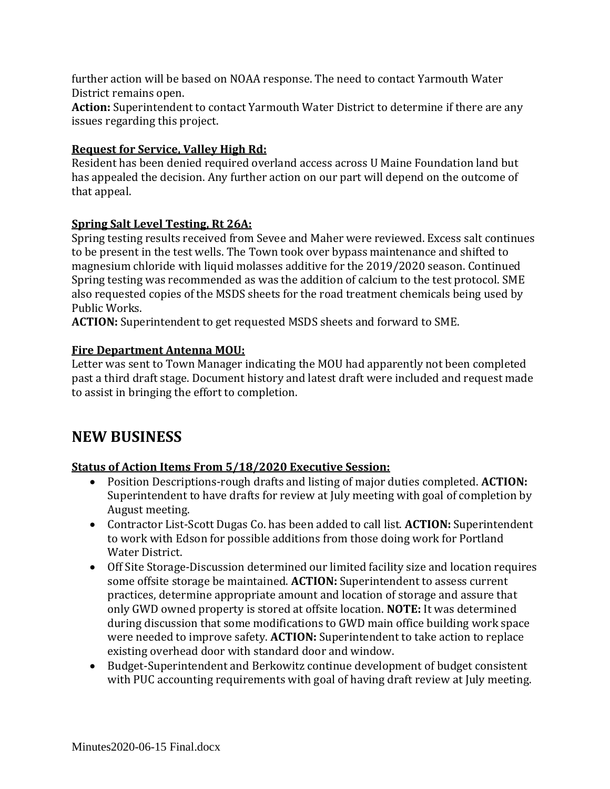further action will be based on NOAA response. The need to contact Yarmouth Water District remains open.

**Action:** Superintendent to contact Yarmouth Water District to determine if there are any issues regarding this project.

# **Request for Service, Valley High Rd:**

Resident has been denied required overland access across U Maine Foundation land but has appealed the decision. Any further action on our part will depend on the outcome of that appeal.

# **Spring Salt Level Testing, Rt 26A:**

Spring testing results received from Sevee and Maher were reviewed. Excess salt continues to be present in the test wells. The Town took over bypass maintenance and shifted to magnesium chloride with liquid molasses additive for the 2019/2020 season. Continued Spring testing was recommended as was the addition of calcium to the test protocol. SME also requested copies of the MSDS sheets for the road treatment chemicals being used by Public Works.

**ACTION:** Superintendent to get requested MSDS sheets and forward to SME.

# **Fire Department Antenna MOU:**

Letter was sent to Town Manager indicating the MOU had apparently not been completed past a third draft stage. Document history and latest draft were included and request made to assist in bringing the effort to completion.

# **NEW BUSINESS**

# **Status of Action Items From 5/18/2020 Executive Session:**

- Position Descriptions-rough drafts and listing of major duties completed. **ACTION:**  Superintendent to have drafts for review at July meeting with goal of completion by August meeting.
- Contractor List-Scott Dugas Co. has been added to call list. **ACTION:** Superintendent to work with Edson for possible additions from those doing work for Portland Water District.
- Off Site Storage-Discussion determined our limited facility size and location requires some offsite storage be maintained. **ACTION:** Superintendent to assess current practices, determine appropriate amount and location of storage and assure that only GWD owned property is stored at offsite location. **NOTE:** It was determined during discussion that some modifications to GWD main office building work space were needed to improve safety. **ACTION:** Superintendent to take action to replace existing overhead door with standard door and window.
- Budget-Superintendent and Berkowitz continue development of budget consistent with PUC accounting requirements with goal of having draft review at July meeting.